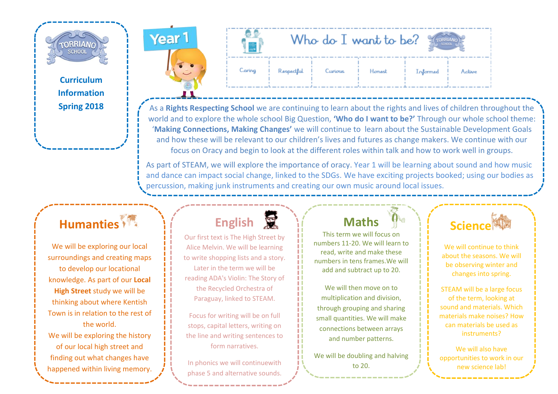**TORRIAN SCHOOL** 

> **Curriculum Information Spring 2018**



As a **Rights Respecting School** we are continuing to learn about the rights and lives of children throughout the world and to explore the whole school Big Question, **'Who do I want to be?'** Through our whole school theme: '**Making Connections, Making Changes'** we will continue to learn about the Sustainable Development Goals and how these will be relevant to our children's lives and futures as change makers. We continue with our focus on Oracy and begin to look at the different roles within talk and how to work well in groups.

As part of STEAM, we will explore the importance of oracy. Year 1 will be learning about sound and how music and dance can impact social change, linked to the SDGs. We have exciting projects booked; using our bodies as percussion, making junk instruments and creating our own music around local issues.

### **Humanties**

We will be exploring our local surroundings and creating maps to develop our locational knowledge. As part of our **Local High Street** study we will be thinking about where Kentish Town is in relation to the rest of the world.

We will be exploring the history of our local high street and finding out what changes have happened within living memory.

## **English**

Our first text is The High Street by Alice Melvin. We will be learning to write shopping lists and a story. Later in the term we will be reading ADA's Violin: The Story of the Recycled Orchestra of Paraguay, linked to STEAM.

Focus for writing will be on full stops, capital letters, writing on the line and writing sentences to form narratives.

In phonics we will continuewith phase 5 and alternative sounds.

### **Maths**

This term we will focus on numbers 11-20. We will learn to read, write and make these numbers in tens frames.We will add and subtract up to 20.

We will then move on to multiplication and division, through grouping and sharing small quantities. We will make connections between arrays and number patterns.

We will be doubling and halving to 20.

### **Science**

We will continue to think about the seasons. We will be observing winter and changes into spring.

STEAM will be a large focus of the term, looking at sound and materials. Which materials make noises? How can materials be used as instruments?

We will also have opportunities to work in our new science lab!